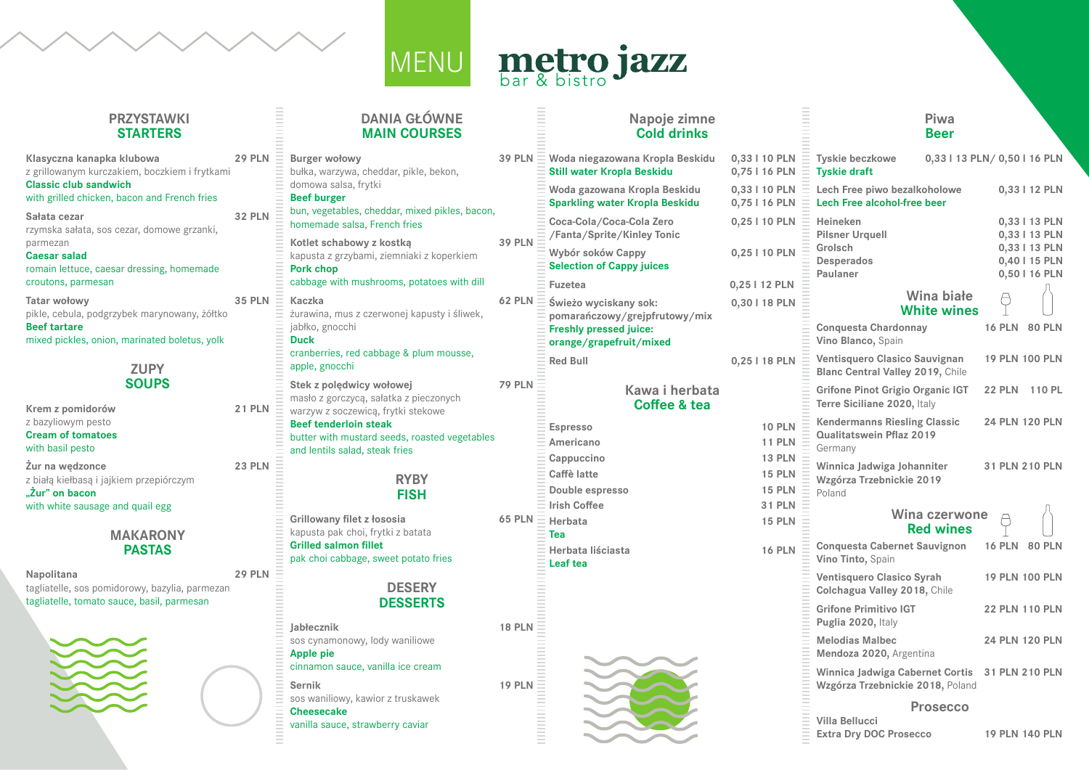### **PRZYSTAWKI STARTERS**

E<br>E<br>E<br>E

| Klasyczna kanapka klubowa<br>z grillowanym kurczakiem, boczkiem i frytkami<br><b>Classic club sandwich</b><br>with grilled chicken, bacon and French fries | <b>29 PLN</b> |
|------------------------------------------------------------------------------------------------------------------------------------------------------------|---------------|
| Sałata cezar<br>rzymska sałata, sos cezar, domowe grzanki,<br>parmezan<br><b>Caesar salad</b>                                                              | <b>32 PLN</b> |
| romain lettuce, caesar dressing, homemade<br>croutons, parmesan                                                                                            |               |
| <b>Tatar wołowy</b><br>pikle, cebula, podgrzybek marynowany, żółtko<br><b>Beef tartare</b><br>mixed pickles, onion, marinated boletus, yolk                | <b>35 PLN</b> |



| Krem z pomidorów                        | <b>21 PLN</b> |
|-----------------------------------------|---------------|
| z bazyliowym pesto                      |               |
| <b>Cream of tomatoes</b>                |               |
| with basil pesto                        |               |
| Żur na wędzonce                         | <b>23 PLN</b> |
| z białą kiełbasą i jajkiem przepiórczym |               |
| "Żur" on bacon                          |               |
| with white sausage and quail egg        |               |
|                                         |               |
|                                         |               |

### **MAKARONY PASTAS**

**Napolitana 29 PLN** tagliatelle, sos pomidorowy, bazylia, parmezan tagliatelle, tomato sauce, basil, parmesan



### **DANIA GŁÓWNE MAIN COURSES**

| <b>Burger wołowy</b><br>bułka, warzywa, cheddar, pikle, bekon,<br>domowa salsa, frytki<br><b>Beef burger</b><br>bun, vegetables, cheddar, mixed pikles, bacon,<br>homemade salsa, French fries                              | <b>39 PLN</b> |
|-----------------------------------------------------------------------------------------------------------------------------------------------------------------------------------------------------------------------------|---------------|
| Kotlet schabowy z kostką<br>kapusta z grzybami, ziemniaki z koperkiem<br><b>Pork chop</b><br>cabbage with mushrooms, potatoes with dill                                                                                     | <b>39 PLN</b> |
| <b>Kaczka</b><br>żurawina, mus z czerwonej kapusty i śliwek,<br>jabłko, gnocchi<br><b>Duck</b>                                                                                                                              | <b>62 PLN</b> |
| cranberries, red cabbage & plum mousse,<br>apple, gnocchi                                                                                                                                                                   |               |
| Stek z polędwicy wołowej<br>masło z gorczycą, sałatka z pieczonych<br>warzyw z soczewicą, frytki stekowe<br><b>Beef tenderloin steak</b><br>butter with mustard seeds, roasted vegetables<br>and lentils salad, steak fries | <b>79 PLN</b> |
| <b>RYBY</b><br><b>FISH</b>                                                                                                                                                                                                  |               |
| <b>Grillowany filet z łososia</b><br>kapusta pak choi, frytki z batata<br><b>Grilled salmon fillet</b><br>pak choi cabbage, sweet potato fries                                                                              | <b>65 PLN</b> |
| <b>DESERY</b><br><b>DESSERTS</b>                                                                                                                                                                                            |               |
|                                                                                                                                                                                                                             |               |
| Jabłecznik<br>sos cynamonowy, lody waniliowe<br><b>Apple pie</b><br>cinnamon sauce, vanilla ice cream                                                                                                                       | <b>18 PLN</b> |

## metro jazz MENU

|              | <b>Napoje zimne</b><br><b>Cold drinks</b>                                                                          |                                |               |
|--------------|--------------------------------------------------------------------------------------------------------------------|--------------------------------|---------------|
| PLN          | Woda niegazowana Kropla Beskidu<br><b>Still water Kropla Beskidu</b>                                               | 0,33   10 PLN<br>0,75   16 PLN |               |
|              | Woda gazowana Kropla Beskidu<br><b>Sparkling water Kropla Beskidu</b>                                              | 0,33   10 PLN<br>0,75   16 PLN |               |
| PLN          | Coca-Cola/Coca-Cola Zero<br>/Fanta/Sprite/Kinley Tonic                                                             | 0,25   10 PLN                  |               |
|              | Wybór soków Cappy<br><b>Selection of Cappy juices</b>                                                              | 0,25   10 PLN                  |               |
|              | <b>Fuzetea</b>                                                                                                     | 0,25   12 PLN                  |               |
| <b>PLN</b>   | Świeżo wyciskany sok:<br>pomarańczowy/grejpfrutowy/mix<br><b>Freshly pressed juice:</b><br>orange/grapefruit/mixed | 0,30   18 PLN                  |               |
|              | <b>Red Bull</b>                                                                                                    | 0,25   18 PLN                  |               |
| PLN          | Kawa i herbata<br>Coffee & tea                                                                                     |                                |               |
|              | <b>Espresso</b>                                                                                                    |                                | <b>10 PLN</b> |
|              | Americano                                                                                                          |                                | <b>11 PLN</b> |
|              | Cappuccino                                                                                                         |                                | <b>13 PLN</b> |
|              | <b>Caffè latte</b>                                                                                                 |                                | <b>15 PLN</b> |
|              | Double espresso                                                                                                    |                                | <b>15 PLN</b> |
| <b>PLN</b>   | <b>Irish Coffee</b>                                                                                                |                                | <b>31 PLN</b> |
|              | <b>Herbata</b><br><b>Tea</b>                                                                                       |                                | <b>15 PLN</b> |
|              | Herbata liściasta                                                                                                  |                                | <b>16 PLN</b> |
|              | Leaf tea                                                                                                           |                                |               |
|              |                                                                                                                    |                                |               |
|              |                                                                                                                    |                                |               |
|              |                                                                                                                    |                                |               |
| <b>B</b> PLN |                                                                                                                    |                                |               |
|              |                                                                                                                    |                                |               |
|              |                                                                                                                    |                                |               |
| <b>PLN</b>   |                                                                                                                    |                                |               |
|              |                                                                                                                    |                                |               |
|              |                                                                                                                    |                                |               |
|              |                                                                                                                    |                                |               |
|              |                                                                                                                    |                                |               |

### **Piwa Beer**

| <b>Tyskie beczkowe</b><br><b>Tyskie draft</b>                                                | 0,33   13 PLN/ 0,50   16 PLN             |                       |                                                                                   |
|----------------------------------------------------------------------------------------------|------------------------------------------|-----------------------|-----------------------------------------------------------------------------------|
| Lech Free piwo bezalkoholowe<br><b>Lech Free alcohol-free beer</b>                           |                                          | 0,33   12 PLN         |                                                                                   |
| <b>Heineken</b><br><b>Pilsner Urquell</b><br>Grolsch<br><b>Desperados</b><br><b>Paulaner</b> |                                          |                       | 0,33   13 PLN<br>0,33   13 PLN<br>0,33   13 PLN<br>0,40   15 PLN<br>0,50   16 PLN |
|                                                                                              | <b>Wina białe</b><br><b>White wines</b>  |                       |                                                                                   |
| <b>Conquesta Chardonnay</b><br>Vino Blanco, Spain                                            |                                          | <b>16 PLN</b>         | <b>80 PLN</b>                                                                     |
| <b>Ventisquero Clasico Sauvignan</b><br><b>Blanc Central Valley 2019, Chile</b>              |                                          | <b>19 PLN 100 PLN</b> |                                                                                   |
| <b>Grifone Pinot Grigio Organic IGT</b><br>Terre Siciliane 2020, Italy                       |                                          | <b>22 PLN</b>         | 110 PL                                                                            |
| <b>Kendermanns Riesling Classic</b><br>Qualitatswein Pflaz 2019<br>Germany                   |                                          | <b>24 PLN 120 PLN</b> |                                                                                   |
| Winnica Jadwiga Johanniter<br>Wzgórza Trzebnickie 2019<br>Poland                             |                                          | 31 PLN 210 PLN        |                                                                                   |
|                                                                                              | <b>Wina czerwone</b><br><b>Red wines</b> |                       |                                                                                   |
| <b>Conquesta Cabernet Sauvignon</b><br>Vino Tinto, Spain                                     |                                          | <b>16 PLN</b>         | <b>80 PLN</b>                                                                     |
| <b>Ventisquero Clasico Syrah</b><br><b>Colchagua Valley 2018, Chile</b>                      |                                          | <b>19 PLN 100 PLN</b> |                                                                                   |
| <b>Grifone Primitivo IGT</b><br>Puglia 2020, Italy                                           |                                          | <b>22 PLN 110 PLN</b> |                                                                                   |
| <b>Melodias Malbec</b><br>Mendoza 2020, Argentina                                            |                                          | <b>24 PLN 120 PLN</b> |                                                                                   |
| <b>Winnica Jadwiga Cabernet Cortis</b><br>Wzgórza Trzebnickie 2018, Poland                   |                                          | 31 PLN 210 PLN        |                                                                                   |
|                                                                                              | <b>Prosecco</b>                          |                       |                                                                                   |
| <b>Villa Bellucci</b><br><b>Extra Dry DOC Prosecco</b>                                       |                                          |                       | <b>19 PLN 140 PLN</b>                                                             |